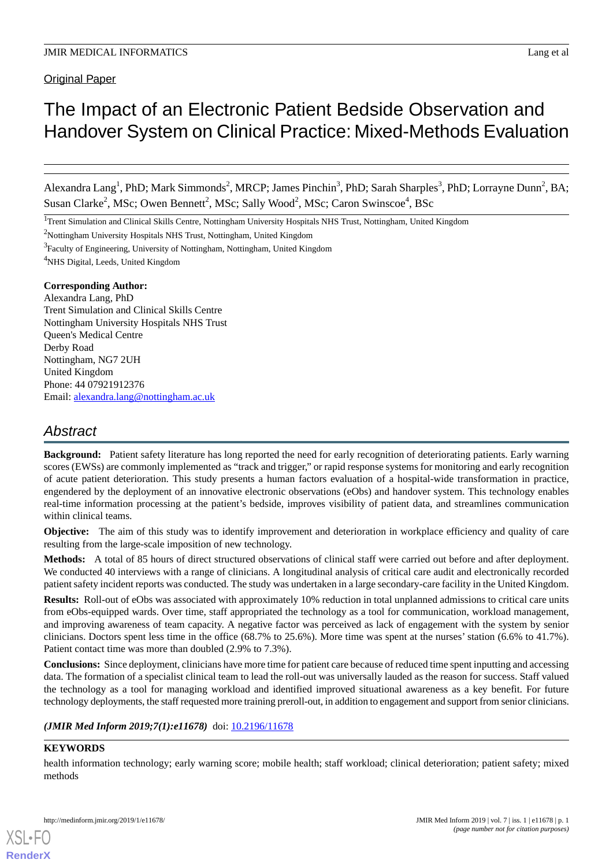**Original Paper** 

# The Impact of an Electronic Patient Bedside Observation and Handover System on Clinical Practice: Mixed-Methods Evaluation

Alexandra Lang<sup>1</sup>, PhD; Mark Simmonds<sup>2</sup>, MRCP; James Pinchin<sup>3</sup>, PhD; Sarah Sharples<sup>3</sup>, PhD; Lorrayne Dunn<sup>2</sup>, BA; Susan Clarke<sup>2</sup>, MSc; Owen Bennett<sup>2</sup>, MSc; Sally Wood<sup>2</sup>, MSc; Caron Swinscoe<sup>4</sup>, BSc

<sup>1</sup>Trent Simulation and Clinical Skills Centre, Nottingham University Hospitals NHS Trust, Nottingham, United Kingdom

<sup>2</sup>Nottingham University Hospitals NHS Trust, Nottingham, United Kingdom

<sup>3</sup> Faculty of Engineering, University of Nottingham, Nottingham, United Kingdom

<sup>4</sup>NHS Digital, Leeds, United Kingdom

#### **Corresponding Author:**

Alexandra Lang, PhD Trent Simulation and Clinical Skills Centre Nottingham University Hospitals NHS Trust Queen's Medical Centre Derby Road Nottingham, NG7 2UH United Kingdom Phone: 44 07921912376 Email: [alexandra.lang@nottingham.ac.uk](mailto:alexandra.lang@nottingham.ac.uk)

## *Abstract*

**Background:** Patient safety literature has long reported the need for early recognition of deteriorating patients. Early warning scores (EWSs) are commonly implemented as "track and trigger," or rapid response systems for monitoring and early recognition of acute patient deterioration. This study presents a human factors evaluation of a hospital-wide transformation in practice, engendered by the deployment of an innovative electronic observations (eObs) and handover system. This technology enables real-time information processing at the patient's bedside, improves visibility of patient data, and streamlines communication within clinical teams.

**Objective:** The aim of this study was to identify improvement and deterioration in workplace efficiency and quality of care resulting from the large-scale imposition of new technology.

**Methods:** A total of 85 hours of direct structured observations of clinical staff were carried out before and after deployment. We conducted 40 interviews with a range of clinicians. A longitudinal analysis of critical care audit and electronically recorded patient safety incident reports was conducted. The study was undertaken in a large secondary-care facility in the United Kingdom.

**Results:** Roll-out of eObs was associated with approximately 10% reduction in total unplanned admissions to critical care units from eObs-equipped wards. Over time, staff appropriated the technology as a tool for communication, workload management, and improving awareness of team capacity. A negative factor was perceived as lack of engagement with the system by senior clinicians. Doctors spent less time in the office (68.7% to 25.6%). More time was spent at the nurses' station (6.6% to 41.7%). Patient contact time was more than doubled (2.9% to 7.3%).

**Conclusions:** Since deployment, clinicians have more time for patient care because of reduced time spent inputting and accessing data. The formation of a specialist clinical team to lead the roll-out was universally lauded as the reason for success. Staff valued the technology as a tool for managing workload and identified improved situational awareness as a key benefit. For future technology deployments, the staff requested more training preroll-out, in addition to engagement and support from senior clinicians.

## *(JMIR Med Inform 2019;7(1):e11678)* doi:  $10.2196/11678$

## **KEYWORDS**

[XSL](http://www.w3.org/Style/XSL)•FO **[RenderX](http://www.renderx.com/)**

health information technology; early warning score; mobile health; staff workload; clinical deterioration; patient safety; mixed methods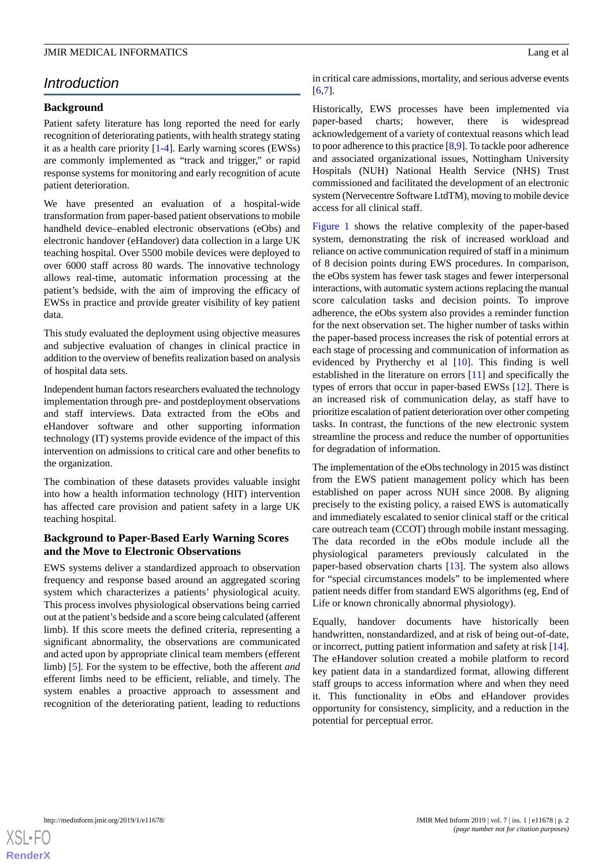## *Introduction*

## **Background**

Patient safety literature has long reported the need for early recognition of deteriorating patients, with health strategy stating it as a health care priority [\[1](#page-10-0)[-4](#page-10-1)]. Early warning scores (EWSs) are commonly implemented as "track and trigger," or rapid response systems for monitoring and early recognition of acute patient deterioration.

We have presented an evaluation of a hospital-wide transformation from paper-based patient observations to mobile handheld device–enabled electronic observations (eObs) and electronic handover (eHandover) data collection in a large UK teaching hospital. Over 5500 mobile devices were deployed to over 6000 staff across 80 wards. The innovative technology allows real-time, automatic information processing at the patient's bedside, with the aim of improving the efficacy of EWSs in practice and provide greater visibility of key patient data.

This study evaluated the deployment using objective measures and subjective evaluation of changes in clinical practice in addition to the overview of benefits realization based on analysis of hospital data sets.

Independent human factors researchers evaluated the technology implementation through pre- and postdeployment observations and staff interviews. Data extracted from the eObs and eHandover software and other supporting information technology (IT) systems provide evidence of the impact of this intervention on admissions to critical care and other benefits to the organization.

The combination of these datasets provides valuable insight into how a health information technology (HIT) intervention has affected care provision and patient safety in a large UK teaching hospital.

## **Background to Paper-Based Early Warning Scores and the Move to Electronic Observations**

EWS systems deliver a standardized approach to observation frequency and response based around an aggregated scoring system which characterizes a patients' physiological acuity. This process involves physiological observations being carried out at the patient's bedside and a score being calculated (afferent limb). If this score meets the defined criteria, representing a significant abnormality, the observations are communicated and acted upon by appropriate clinical team members (efferent limb) [\[5](#page-10-2)]. For the system to be effective, both the afferent *and* efferent limbs need to be efficient, reliable, and timely. The system enables a proactive approach to assessment and recognition of the deteriorating patient, leading to reductions in critical care admissions, mortality, and serious adverse events [[6](#page-10-3)[,7\]](#page-10-4).

Historically, EWS processes have been implemented via paper-based charts; however, there is widespread acknowledgement of a variety of contextual reasons which lead to poor adherence to this practice [\[8](#page-10-5)[,9](#page-10-6)]. To tackle poor adherence and associated organizational issues, Nottingham University Hospitals (NUH) National Health Service (NHS) Trust commissioned and facilitated the development of an electronic system (Nervecentre Software LtdTM), moving to mobile device access for all clinical staff.

[Figure 1](#page-2-0) shows the relative complexity of the paper-based system, demonstrating the risk of increased workload and reliance on active communication required of staff in a minimum of 8 decision points during EWS procedures. In comparison, the eObs system has fewer task stages and fewer interpersonal interactions, with automatic system actions replacing the manual score calculation tasks and decision points. To improve adherence, the eObs system also provides a reminder function for the next observation set. The higher number of tasks within the paper-based process increases the risk of potential errors at each stage of processing and communication of information as evidenced by Prytherchy et al [[10\]](#page-10-7). This finding is well established in the literature on errors [\[11](#page-10-8)] and specifically the types of errors that occur in paper-based EWSs [\[12](#page-10-9)]. There is an increased risk of communication delay, as staff have to prioritize escalation of patient deterioration over other competing tasks. In contrast, the functions of the new electronic system streamline the process and reduce the number of opportunities for degradation of information.

The implementation of the eObs technology in 2015 was distinct from the EWS patient management policy which has been established on paper across NUH since 2008. By aligning precisely to the existing policy, a raised EWS is automatically and immediately escalated to senior clinical staff or the critical care outreach team (CCOT) through mobile instant messaging. The data recorded in the eObs module include all the physiological parameters previously calculated in the paper-based observation charts [[13\]](#page-10-10). The system also allows for "special circumstances models" to be implemented where patient needs differ from standard EWS algorithms (eg, End of Life or known chronically abnormal physiology).

Equally, handover documents have historically been handwritten, nonstandardized, and at risk of being out-of-date, or incorrect, putting patient information and safety at risk [[14\]](#page-10-11). The eHandover solution created a mobile platform to record key patient data in a standardized format, allowing different staff groups to access information where and when they need it. This functionality in eObs and eHandover provides opportunity for consistency, simplicity, and a reduction in the potential for perceptual error.

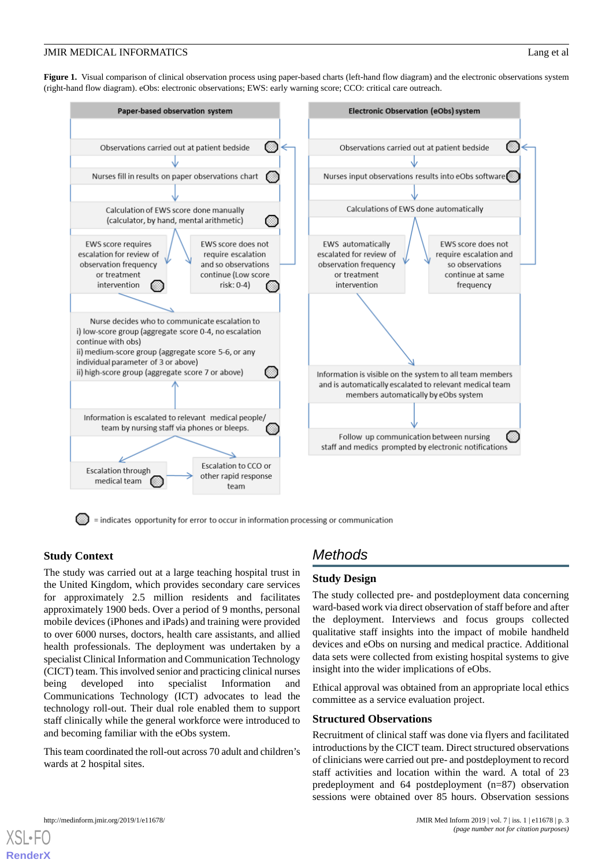<span id="page-2-0"></span>Figure 1. Visual comparison of clinical observation process using paper-based charts (left-hand flow diagram) and the electronic observations system (right-hand flow diagram). eObs: electronic observations; EWS: early warning score; CCO: critical care outreach.



= indicates opportunity for error to occur in information processing or communication

## **Study Context**

The study was carried out at a large teaching hospital trust in the United Kingdom, which provides secondary care services for approximately 2.5 million residents and facilitates approximately 1900 beds. Over a period of 9 months, personal mobile devices (iPhones and iPads) and training were provided to over 6000 nurses, doctors, health care assistants, and allied health professionals. The deployment was undertaken by a specialist Clinical Information and Communication Technology (CICT) team. This involved senior and practicing clinical nurses being developed into specialist Information and Communications Technology (ICT) advocates to lead the technology roll-out. Their dual role enabled them to support staff clinically while the general workforce were introduced to and becoming familiar with the eObs system.

This team coordinated the roll-out across 70 adult and children's wards at 2 hospital sites.

## *Methods*

## **Study Design**

The study collected pre- and postdeployment data concerning ward-based work via direct observation of staff before and after the deployment. Interviews and focus groups collected qualitative staff insights into the impact of mobile handheld devices and eObs on nursing and medical practice. Additional data sets were collected from existing hospital systems to give insight into the wider implications of eObs.

Ethical approval was obtained from an appropriate local ethics committee as a service evaluation project.

#### **Structured Observations**

Recruitment of clinical staff was done via flyers and facilitated introductions by the CICT team. Direct structured observations of clinicians were carried out pre- and postdeployment to record staff activities and location within the ward. A total of 23 predeployment and 64 postdeployment (n=87) observation sessions were obtained over 85 hours. Observation sessions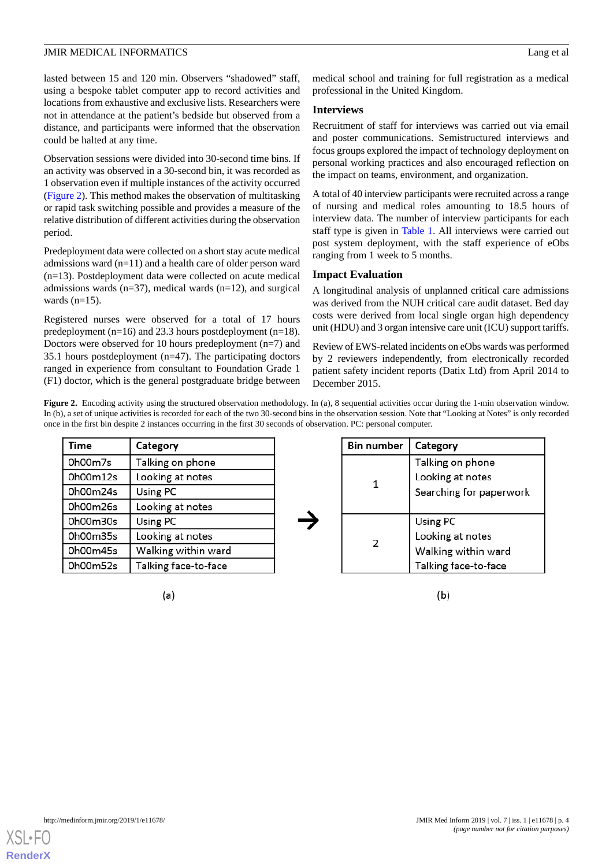lasted between 15 and 120 min. Observers "shadowed" staff, using a bespoke tablet computer app to record activities and locations from exhaustive and exclusive lists. Researchers were not in attendance at the patient's bedside but observed from a distance, and participants were informed that the observation could be halted at any time.

Observation sessions were divided into 30-second time bins. If an activity was observed in a 30-second bin, it was recorded as 1 observation even if multiple instances of the activity occurred ([Figure 2](#page-3-0)). This method makes the observation of multitasking or rapid task switching possible and provides a measure of the relative distribution of different activities during the observation period.

Predeployment data were collected on a short stay acute medical admissions ward (n=11) and a health care of older person ward (n=13). Postdeployment data were collected on acute medical admissions wards  $(n=37)$ , medical wards  $(n=12)$ , and surgical wards  $(n=15)$ .

Registered nurses were observed for a total of 17 hours predeployment (n=16) and 23.3 hours postdeployment (n=18). Doctors were observed for 10 hours predeployment (n=7) and 35.1 hours postdeployment (n=47). The participating doctors ranged in experience from consultant to Foundation Grade 1 (F1) doctor, which is the general postgraduate bridge between

medical school and training for full registration as a medical professional in the United Kingdom.

### **Interviews**

Recruitment of staff for interviews was carried out via email and poster communications. Semistructured interviews and focus groups explored the impact of technology deployment on personal working practices and also encouraged reflection on the impact on teams, environment, and organization.

A total of 40 interview participants were recruited across a range of nursing and medical roles amounting to 18.5 hours of interview data. The number of interview participants for each staff type is given in [Table 1](#page-4-0). All interviews were carried out post system deployment, with the staff experience of eObs ranging from 1 week to 5 months.

## **Impact Evaluation**

A longitudinal analysis of unplanned critical care admissions was derived from the NUH critical care audit dataset. Bed day costs were derived from local single organ high dependency unit (HDU) and 3 organ intensive care unit (ICU) support tariffs.

Review of EWS-related incidents on eObs wards was performed by 2 reviewers independently, from electronically recorded patient safety incident reports (Datix Ltd) from April 2014 to December 2015.

<span id="page-3-0"></span>Figure 2. Encoding activity using the structured observation methodology. In (a), 8 sequential activities occur during the 1-min observation window. In (b), a set of unique activities is recorded for each of the two 30-second bins in the observation session. Note that "Looking at Notes" is only recorded once in the first bin despite 2 instances occurring in the first 30 seconds of observation. PC: personal computer.

| Time     | Category             |
|----------|----------------------|
| 0h00m7s  | Talking on phone     |
| 0h00m12s | Looking at notes     |
| 0h00m24s | Using PC             |
| 0h00m26s | Looking at notes     |
| 0h00m30s | Using PC             |
| 0h00m35s | Looking at notes     |
| 0h00m45s | Walking within ward  |
| 0h00m52s | Talking face-to-face |

 $(a)$ 

| <b>Bin number</b> | Category                |
|-------------------|-------------------------|
| 1                 | Talking on phone        |
|                   | Looking at notes        |
|                   | Searching for paperwork |
|                   |                         |
| 2                 | Using PC                |
|                   | Looking at notes        |
|                   | Walking within ward     |
|                   | Talking face-to-face    |

 $(b)$ 

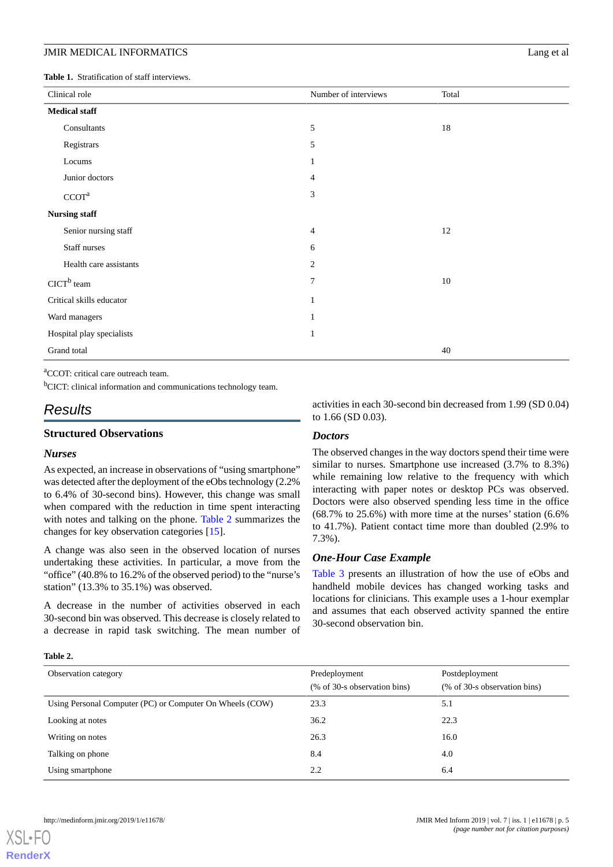<span id="page-4-0"></span>**Table 1.** Stratification of staff interviews.

| Clinical role             | Number of interviews | Total |
|---------------------------|----------------------|-------|
| <b>Medical staff</b>      |                      |       |
| Consultants               | $\mathfrak s$        | 18    |
| Registrars                | 5                    |       |
| Locums                    | 1                    |       |
| Junior doctors            | 4                    |       |
| CCOT <sup>a</sup>         | 3                    |       |
| <b>Nursing staff</b>      |                      |       |
| Senior nursing staff      | 4                    | 12    |
| Staff nurses              | 6                    |       |
| Health care assistants    | $\overline{c}$       |       |
| $CICTb$ team              | $\overline{7}$       | 10    |
| Critical skills educator  |                      |       |
| Ward managers             |                      |       |
| Hospital play specialists | 1                    |       |
| Grand total               |                      | 40    |

<sup>a</sup>CCOT: critical care outreach team.

<sup>b</sup>CICT: clinical information and communications technology team.

## *Results*

### **Structured Observations**

#### *Nurses*

As expected, an increase in observations of "using smartphone" was detected after the deployment of the eObs technology (2.2% to 6.4% of 30-second bins). However, this change was small when compared with the reduction in time spent interacting with notes and talking on the phone. [Table 2](#page-4-1) summarizes the changes for key observation categories [\[15](#page-10-12)].

A change was also seen in the observed location of nurses undertaking these activities. In particular, a move from the "office" (40.8% to 16.2% of the observed period) to the "nurse's station" (13.3% to 35.1%) was observed.

<span id="page-4-1"></span>A decrease in the number of activities observed in each 30-second bin was observed. This decrease is closely related to a decrease in rapid task switching. The mean number of activities in each 30-second bin decreased from 1.99 (SD 0.04) to 1.66 (SD 0.03).

#### *Doctors*

The observed changes in the way doctors spend their time were similar to nurses. Smartphone use increased (3.7% to 8.3%) while remaining low relative to the frequency with which interacting with paper notes or desktop PCs was observed. Doctors were also observed spending less time in the office  $(68.7\%$  to  $25.6\%)$  with more time at the nurses' station  $(6.6\%$ to 41.7%). Patient contact time more than doubled (2.9% to 7.3%).

#### *One-Hour Case Example*

[Table 3](#page-5-0) presents an illustration of how the use of eObs and handheld mobile devices has changed working tasks and locations for clinicians. This example uses a 1-hour exemplar and assumes that each observed activity spanned the entire 30-second observation bin.

#### **Table 2.**

| Observation category                                     | Predeployment<br>(% of 30-s observation bins) | Postdeployment<br>(% of 30-s observation bins) |
|----------------------------------------------------------|-----------------------------------------------|------------------------------------------------|
| Using Personal Computer (PC) or Computer On Wheels (COW) | 23.3                                          | 5.1                                            |
| Looking at notes                                         | 36.2                                          | 22.3                                           |
| Writing on notes                                         | 26.3                                          | 16.0                                           |
| Talking on phone                                         | 8.4                                           | 4.0                                            |
| Using smartphone                                         | 2.2                                           | 6.4                                            |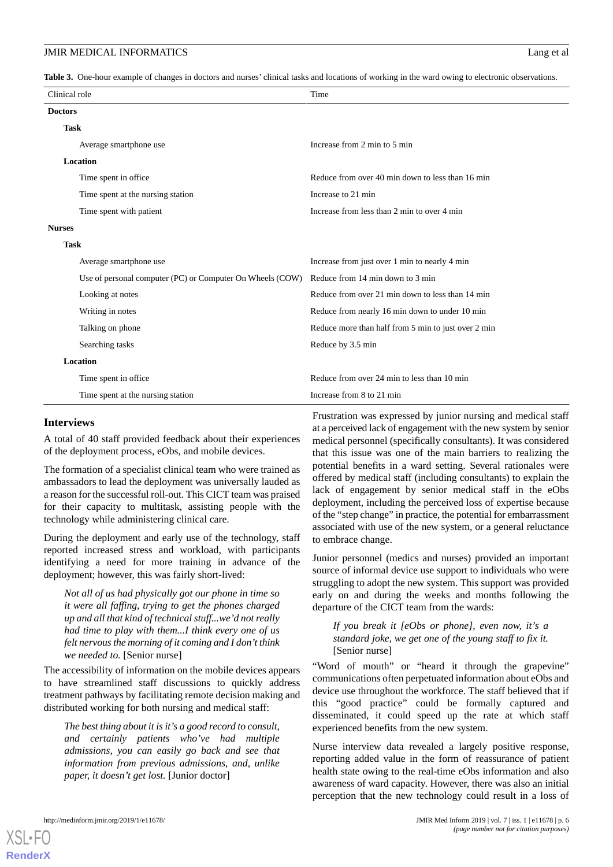<span id="page-5-0"></span>**Table 3.** One-hour example of changes in doctors and nurses' clinical tasks and locations of working in the ward owing to electronic observations.

| Clinical role                                             | Time                                                |
|-----------------------------------------------------------|-----------------------------------------------------|
| <b>Doctors</b>                                            |                                                     |
| <b>Task</b>                                               |                                                     |
| Average smartphone use                                    | Increase from 2 min to 5 min                        |
| <b>Location</b>                                           |                                                     |
| Time spent in office                                      | Reduce from over 40 min down to less than 16 min    |
| Time spent at the nursing station                         | Increase to 21 min                                  |
| Time spent with patient                                   | Increase from less than 2 min to over 4 min         |
| <b>Nurses</b>                                             |                                                     |
| <b>Task</b>                                               |                                                     |
| Average smartphone use                                    | Increase from just over 1 min to nearly 4 min       |
| Use of personal computer (PC) or Computer On Wheels (COW) | Reduce from 14 min down to 3 min                    |
| Looking at notes                                          | Reduce from over 21 min down to less than 14 min    |
| Writing in notes                                          | Reduce from nearly 16 min down to under 10 min      |
| Talking on phone                                          | Reduce more than half from 5 min to just over 2 min |
| Searching tasks                                           | Reduce by 3.5 min                                   |
| <b>Location</b>                                           |                                                     |
| Time spent in office                                      | Reduce from over 24 min to less than 10 min         |
| Time spent at the nursing station                         | Increase from 8 to 21 min                           |

#### **Interviews**

A total of 40 staff provided feedback about their experiences of the deployment process, eObs, and mobile devices.

The formation of a specialist clinical team who were trained as ambassadors to lead the deployment was universally lauded as a reason for the successful roll-out. This CICT team was praised for their capacity to multitask, assisting people with the technology while administering clinical care.

During the deployment and early use of the technology, staff reported increased stress and workload, with participants identifying a need for more training in advance of the deployment; however, this was fairly short-lived:

*Not all of us had physically got our phone in time so it were all faffing, trying to get the phones charged up and all that kind of technical stuff...we'd not really had time to play with them...I think every one of us felt nervous the morning of it coming and I don't think we needed to.* [Senior nurse]

The accessibility of information on the mobile devices appears to have streamlined staff discussions to quickly address treatment pathways by facilitating remote decision making and distributed working for both nursing and medical staff:

*The best thing about it is it's a good record to consult, and certainly patients who've had multiple admissions, you can easily go back and see that information from previous admissions, and, unlike paper, it doesn't get lost.* [Junior doctor]

Frustration was expressed by junior nursing and medical staff at a perceived lack of engagement with the new system by senior medical personnel (specifically consultants). It was considered that this issue was one of the main barriers to realizing the potential benefits in a ward setting. Several rationales were offered by medical staff (including consultants) to explain the lack of engagement by senior medical staff in the eObs deployment, including the perceived loss of expertise because of the "step change" in practice, the potential for embarrassment associated with use of the new system, or a general reluctance to embrace change.

Junior personnel (medics and nurses) provided an important source of informal device use support to individuals who were struggling to adopt the new system. This support was provided early on and during the weeks and months following the departure of the CICT team from the wards:

*If you break it [eObs or phone], even now, it's a standard joke, we get one of the young staff to fix it.* [Senior nurse]

"Word of mouth" or "heard it through the grapevine" communications often perpetuated information about eObs and device use throughout the workforce. The staff believed that if this "good practice" could be formally captured and disseminated, it could speed up the rate at which staff experienced benefits from the new system.

Nurse interview data revealed a largely positive response, reporting added value in the form of reassurance of patient health state owing to the real-time eObs information and also awareness of ward capacity. However, there was also an initial perception that the new technology could result in a loss of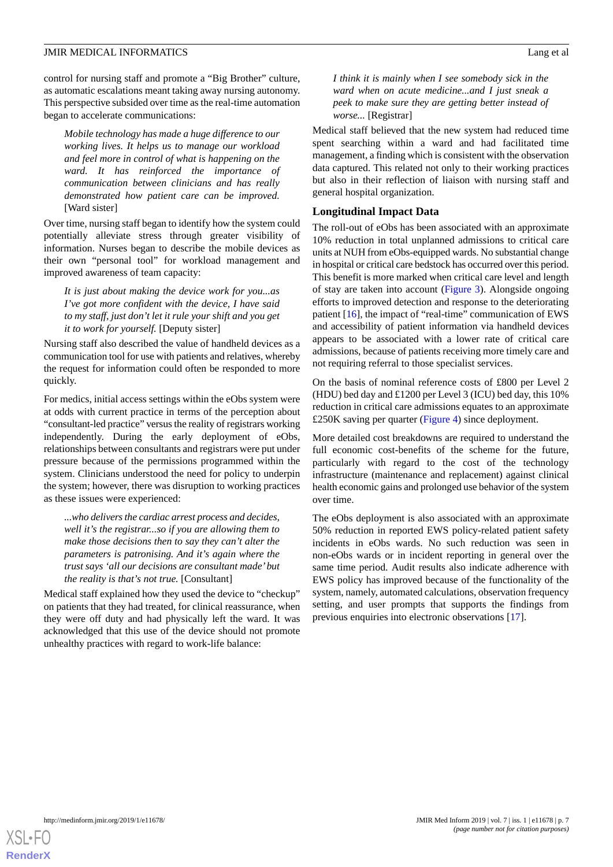control for nursing staff and promote a "Big Brother" culture, as automatic escalations meant taking away nursing autonomy. This perspective subsided over time as the real-time automation began to accelerate communications:

*Mobile technology has made a huge difference to our working lives. It helps us to manage our workload and feel more in control of what is happening on the ward. It has reinforced the importance of communication between clinicians and has really demonstrated how patient care can be improved.* [Ward sister]

Over time, nursing staff began to identify how the system could potentially alleviate stress through greater visibility of information. Nurses began to describe the mobile devices as their own "personal tool" for workload management and improved awareness of team capacity:

*It is just about making the device work for you...as I've got more confident with the device, I have said to my staff, just don't let it rule your shift and you get it to work for yourself.* [Deputy sister]

Nursing staff also described the value of handheld devices as a communication tool for use with patients and relatives, whereby the request for information could often be responded to more quickly.

For medics, initial access settings within the eObs system were at odds with current practice in terms of the perception about "consultant-led practice" versus the reality of registrars working independently. During the early deployment of eObs, relationships between consultants and registrars were put under pressure because of the permissions programmed within the system. Clinicians understood the need for policy to underpin the system; however, there was disruption to working practices as these issues were experienced:

*...who delivers the cardiac arrest process and decides, well it's the registrar...so if you are allowing them to make those decisions then to say they can't alter the parameters is patronising. And it's again where the trust says 'all our decisions are consultant made'but the reality is that's not true.* [Consultant]

Medical staff explained how they used the device to "checkup" on patients that they had treated, for clinical reassurance, when they were off duty and had physically left the ward. It was acknowledged that this use of the device should not promote unhealthy practices with regard to work-life balance:

*I think it is mainly when I see somebody sick in the ward when on acute medicine...and I just sneak a peek to make sure they are getting better instead of worse...* [Registrar]

Medical staff believed that the new system had reduced time spent searching within a ward and had facilitated time management, a finding which is consistent with the observation data captured. This related not only to their working practices but also in their reflection of liaison with nursing staff and general hospital organization.

#### **Longitudinal Impact Data**

The roll-out of eObs has been associated with an approximate 10% reduction in total unplanned admissions to critical care units at NUH from eObs-equipped wards. No substantial change in hospital or critical care bedstock has occurred over this period. This benefit is more marked when critical care level and length of stay are taken into account ([Figure 3](#page-7-0)). Alongside ongoing efforts to improved detection and response to the deteriorating patient [\[16](#page-11-0)], the impact of "real-time" communication of EWS and accessibility of patient information via handheld devices appears to be associated with a lower rate of critical care admissions, because of patients receiving more timely care and not requiring referral to those specialist services.

On the basis of nominal reference costs of £800 per Level 2 (HDU) bed day and £1200 per Level 3 (ICU) bed day, this 10% reduction in critical care admissions equates to an approximate £250K saving per quarter [\(Figure 4\)](#page-7-1) since deployment.

More detailed cost breakdowns are required to understand the full economic cost-benefits of the scheme for the future, particularly with regard to the cost of the technology infrastructure (maintenance and replacement) against clinical health economic gains and prolonged use behavior of the system over time.

The eObs deployment is also associated with an approximate 50% reduction in reported EWS policy-related patient safety incidents in eObs wards. No such reduction was seen in non-eObs wards or in incident reporting in general over the same time period. Audit results also indicate adherence with EWS policy has improved because of the functionality of the system, namely, automated calculations, observation frequency setting, and user prompts that supports the findings from previous enquiries into electronic observations [[17\]](#page-11-1).

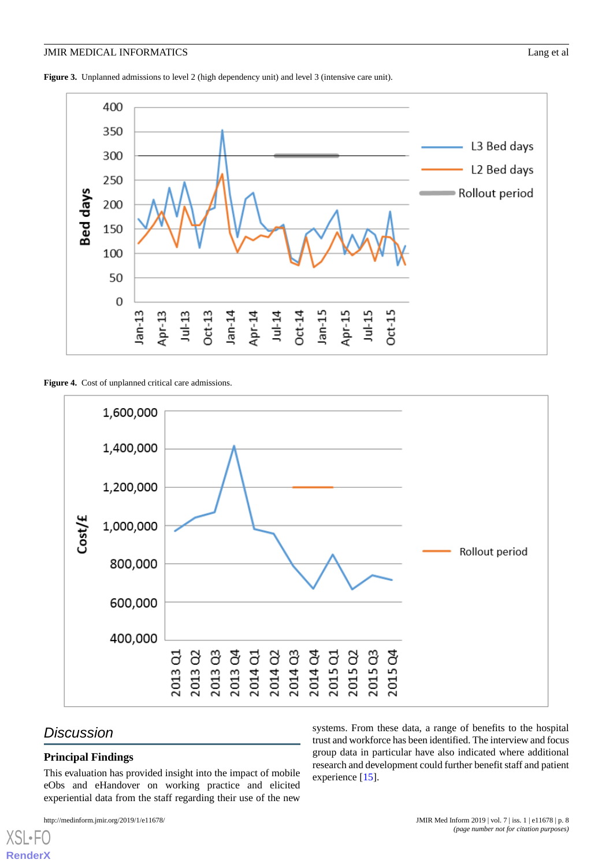<span id="page-7-0"></span>**Figure 3.** Unplanned admissions to level 2 (high dependency unit) and level 3 (intensive care unit).



<span id="page-7-1"></span>Figure 4. Cost of unplanned critical care admissions.



## *Discussion*

 $X$ SL•F **[RenderX](http://www.renderx.com/)**

## **Principal Findings**

This evaluation has provided insight into the impact of mobile eObs and eHandover on working practice and elicited experiential data from the staff regarding their use of the new

systems. From these data, a range of benefits to the hospital trust and workforce has been identified. The interview and focus group data in particular have also indicated where additional research and development could further benefit staff and patient experience [[15\]](#page-10-12).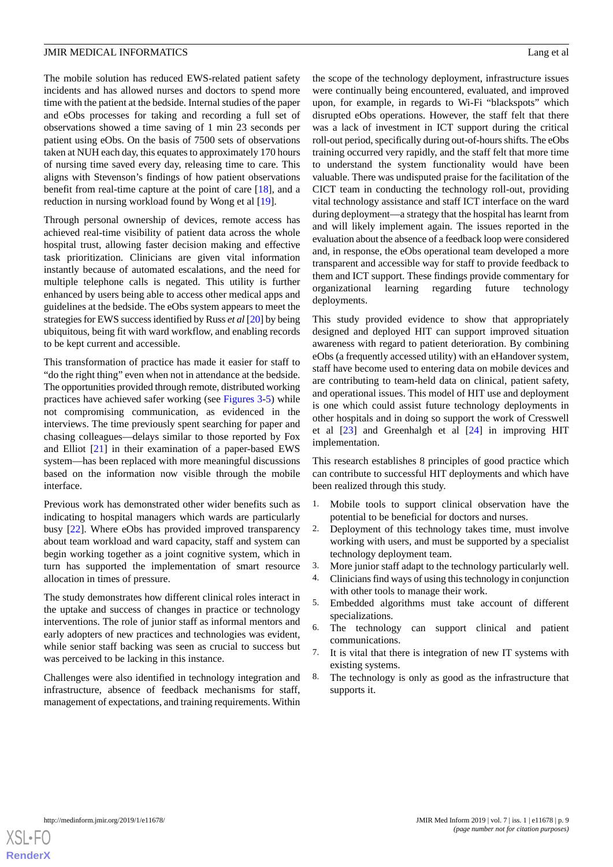The mobile solution has reduced EWS-related patient safety incidents and has allowed nurses and doctors to spend more time with the patient at the bedside. Internal studies of the paper and eObs processes for taking and recording a full set of observations showed a time saving of 1 min 23 seconds per patient using eObs. On the basis of 7500 sets of observations taken at NUH each day, this equates to approximately 170 hours of nursing time saved every day, releasing time to care. This aligns with Stevenson's findings of how patient observations benefit from real-time capture at the point of care [[18\]](#page-11-2), and a reduction in nursing workload found by Wong et al [[19\]](#page-11-3).

Through personal ownership of devices, remote access has achieved real-time visibility of patient data across the whole hospital trust, allowing faster decision making and effective task prioritization. Clinicians are given vital information instantly because of automated escalations, and the need for multiple telephone calls is negated. This utility is further enhanced by users being able to access other medical apps and guidelines at the bedside. The eObs system appears to meet the strategies for EWS success identified by Russ *et al* [[20\]](#page-11-4) by being ubiquitous, being fit with ward workflow, and enabling records to be kept current and accessible.

This transformation of practice has made it easier for staff to "do the right thing" even when not in attendance at the bedside. The opportunities provided through remote, distributed working practices have achieved safer working (see [Figures 3](#page-7-0)[-5](#page-9-0)) while not compromising communication, as evidenced in the interviews. The time previously spent searching for paper and chasing colleagues—delays similar to those reported by Fox and Elliot [\[21](#page-11-5)] in their examination of a paper-based EWS system—has been replaced with more meaningful discussions based on the information now visible through the mobile interface.

Previous work has demonstrated other wider benefits such as indicating to hospital managers which wards are particularly busy [\[22](#page-11-6)]. Where eObs has provided improved transparency about team workload and ward capacity, staff and system can begin working together as a joint cognitive system, which in turn has supported the implementation of smart resource allocation in times of pressure.

The study demonstrates how different clinical roles interact in the uptake and success of changes in practice or technology interventions. The role of junior staff as informal mentors and early adopters of new practices and technologies was evident, while senior staff backing was seen as crucial to success but was perceived to be lacking in this instance.

Challenges were also identified in technology integration and infrastructure, absence of feedback mechanisms for staff, management of expectations, and training requirements. Within the scope of the technology deployment, infrastructure issues were continually being encountered, evaluated, and improved upon, for example, in regards to Wi-Fi "blackspots" which disrupted eObs operations. However, the staff felt that there was a lack of investment in ICT support during the critical roll-out period, specifically during out-of-hours shifts. The eObs training occurred very rapidly, and the staff felt that more time to understand the system functionality would have been valuable. There was undisputed praise for the facilitation of the CICT team in conducting the technology roll-out, providing vital technology assistance and staff ICT interface on the ward during deployment—a strategy that the hospital has learnt from and will likely implement again. The issues reported in the evaluation about the absence of a feedback loop were considered and, in response, the eObs operational team developed a more transparent and accessible way for staff to provide feedback to them and ICT support. These findings provide commentary for organizational learning regarding future technology deployments.

This study provided evidence to show that appropriately designed and deployed HIT can support improved situation awareness with regard to patient deterioration. By combining eObs (a frequently accessed utility) with an eHandover system, staff have become used to entering data on mobile devices and are contributing to team-held data on clinical, patient safety, and operational issues. This model of HIT use and deployment is one which could assist future technology deployments in other hospitals and in doing so support the work of Cresswell et al [\[23](#page-11-7)] and Greenhalgh et al [[24\]](#page-11-8) in improving HIT implementation.

This research establishes 8 principles of good practice which can contribute to successful HIT deployments and which have been realized through this study.

- 1. Mobile tools to support clinical observation have the potential to be beneficial for doctors and nurses.
- 2. Deployment of this technology takes time, must involve working with users, and must be supported by a specialist technology deployment team.
- 3. More junior staff adapt to the technology particularly well.
- 4. Clinicians find ways of using this technology in conjunction with other tools to manage their work.
- 5. Embedded algorithms must take account of different specializations.
- 6. The technology can support clinical and patient communications.
- 7. It is vital that there is integration of new IT systems with existing systems.
- 8. The technology is only as good as the infrastructure that supports it.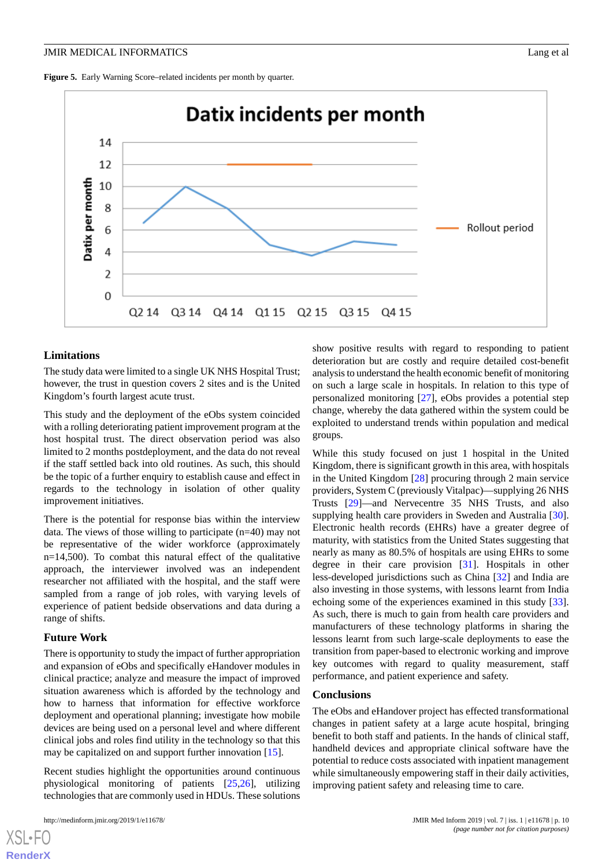<span id="page-9-0"></span>Figure 5. Early Warning Score–related incidents per month by quarter.



#### **Limitations**

The study data were limited to a single UK NHS Hospital Trust; however, the trust in question covers 2 sites and is the United Kingdom's fourth largest acute trust.

This study and the deployment of the eObs system coincided with a rolling deteriorating patient improvement program at the host hospital trust. The direct observation period was also limited to 2 months postdeployment, and the data do not reveal if the staff settled back into old routines. As such, this should be the topic of a further enquiry to establish cause and effect in regards to the technology in isolation of other quality improvement initiatives.

There is the potential for response bias within the interview data. The views of those willing to participate (n=40) may not be representative of the wider workforce (approximately n=14,500). To combat this natural effect of the qualitative approach, the interviewer involved was an independent researcher not affiliated with the hospital, and the staff were sampled from a range of job roles, with varying levels of experience of patient bedside observations and data during a range of shifts.

#### **Future Work**

There is opportunity to study the impact of further appropriation and expansion of eObs and specifically eHandover modules in clinical practice; analyze and measure the impact of improved situation awareness which is afforded by the technology and how to harness that information for effective workforce deployment and operational planning; investigate how mobile devices are being used on a personal level and where different clinical jobs and roles find utility in the technology so that this may be capitalized on and support further innovation [[15\]](#page-10-12).

Recent studies highlight the opportunities around continuous physiological monitoring of patients [[25,](#page-11-9)[26](#page-11-10)], utilizing technologies that are commonly used in HDUs. These solutions

[XSL](http://www.w3.org/Style/XSL)•FO **[RenderX](http://www.renderx.com/)**

show positive results with regard to responding to patient deterioration but are costly and require detailed cost-benefit analysis to understand the health economic benefit of monitoring on such a large scale in hospitals. In relation to this type of personalized monitoring [[27\]](#page-11-11), eObs provides a potential step change, whereby the data gathered within the system could be exploited to understand trends within population and medical groups.

While this study focused on just 1 hospital in the United Kingdom, there is significant growth in this area, with hospitals in the United Kingdom [[28\]](#page-11-12) procuring through 2 main service providers, System C (previously Vitalpac)—supplying 26 NHS Trusts [\[29](#page-11-13)]—and Nervecentre 35 NHS Trusts, and also supplying health care providers in Sweden and Australia [[30\]](#page-11-14). Electronic health records (EHRs) have a greater degree of maturity, with statistics from the United States suggesting that nearly as many as 80.5% of hospitals are using EHRs to some degree in their care provision [[31\]](#page-11-15). Hospitals in other less-developed jurisdictions such as China [\[32](#page-11-16)] and India are also investing in those systems, with lessons learnt from India echoing some of the experiences examined in this study [[33\]](#page-11-17). As such, there is much to gain from health care providers and manufacturers of these technology platforms in sharing the lessons learnt from such large-scale deployments to ease the transition from paper-based to electronic working and improve key outcomes with regard to quality measurement, staff performance, and patient experience and safety.

#### **Conclusions**

The eObs and eHandover project has effected transformational changes in patient safety at a large acute hospital, bringing benefit to both staff and patients. In the hands of clinical staff, handheld devices and appropriate clinical software have the potential to reduce costs associated with inpatient management while simultaneously empowering staff in their daily activities, improving patient safety and releasing time to care.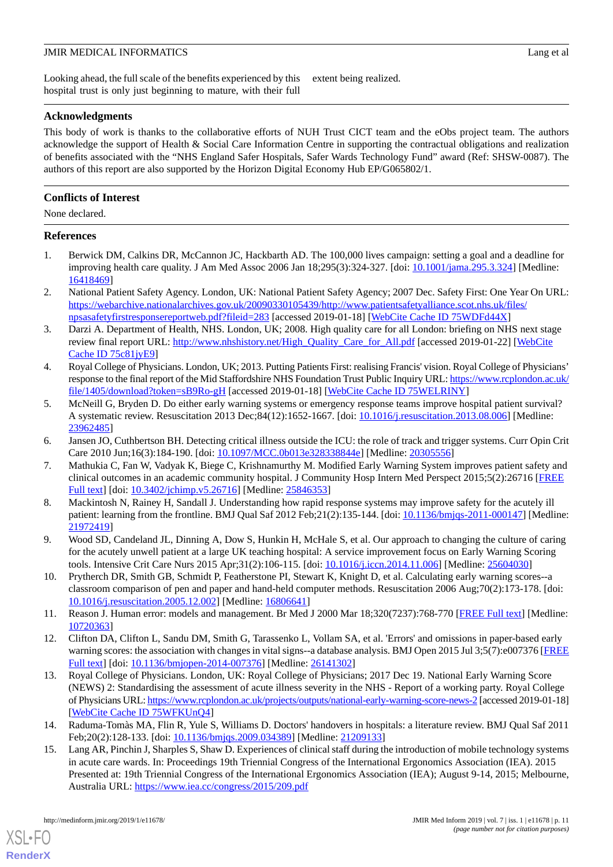Looking ahead, the full scale of the benefits experienced by this hospital trust is only just beginning to mature, with their full extent being realized.

## **Acknowledgments**

This body of work is thanks to the collaborative efforts of NUH Trust CICT team and the eObs project team. The authors acknowledge the support of Health & Social Care Information Centre in supporting the contractual obligations and realization of benefits associated with the "NHS England Safer Hospitals, Safer Wards Technology Fund" award (Ref: SHSW-0087). The authors of this report are also supported by the Horizon Digital Economy Hub EP/G065802/1.

## **Conflicts of Interest**

None declared.

## <span id="page-10-0"></span>**References**

- 1. Berwick DM, Calkins DR, McCannon JC, Hackbarth AD. The 100,000 lives campaign: setting a goal and a deadline for improving health care quality. J Am Med Assoc 2006 Jan 18;295(3):324-327. [doi: [10.1001/jama.295.3.324\]](http://dx.doi.org/10.1001/jama.295.3.324) [Medline: [16418469](http://www.ncbi.nlm.nih.gov/entrez/query.fcgi?cmd=Retrieve&db=PubMed&list_uids=16418469&dopt=Abstract)]
- 2. National Patient Safety Agency. London, UK: National Patient Safety Agency; 2007 Dec. Safety First: One Year On URL: [https://webarchive.nationalarchives.gov.uk/20090330105439/http://www.patientsafetyalliance.scot.nhs.uk/files/](https://webarchive.nationalarchives.gov.uk/20090330105439/http://www.patientsafetyalliance.scot.nhs.uk/files/npsasafetyfirstresponsereportweb.pdf?fileid=283) [npsasafetyfirstresponsereportweb.pdf?fileid=283](https://webarchive.nationalarchives.gov.uk/20090330105439/http://www.patientsafetyalliance.scot.nhs.uk/files/npsasafetyfirstresponsereportweb.pdf?fileid=283) [accessed 2019-01-18] [[WebCite Cache ID 75WDFd44X\]](http://www.webcitation.org/

                                75WDFd44X)
- <span id="page-10-1"></span>3. Darzi A. Department of Health, NHS. London, UK; 2008. High quality care for all London: briefing on NHS next stage review final report URL: [http://www.nhshistory.net/High\\_Quality\\_Care\\_for\\_All.pdf](http://www.nhshistory.net/High_Quality_Care_for_All.pdf) [accessed 2019-01-22] [\[WebCite](http://www.webcitation.org/

                                75c81jyE9) [Cache ID 75c81jyE9](http://www.webcitation.org/

                                75c81jyE9)]
- <span id="page-10-2"></span>4. Royal College of Physicians. London, UK; 2013. Putting Patients First: realising Francis' vision. Royal College of Physicians' response to the final report of the Mid Staffordshire NHS Foundation Trust Public Inquiry URL: [https://www.rcplondon.ac.uk/](https://www.rcplondon.ac.uk/file/1405/download?token=sB9Ro-gH) [file/1405/download?token=sB9Ro-gH](https://www.rcplondon.ac.uk/file/1405/download?token=sB9Ro-gH) [accessed 2019-01-18] [\[WebCite Cache ID 75WELRINY](http://www.webcitation.org/

                                75WELRINY)]
- <span id="page-10-4"></span><span id="page-10-3"></span>5. McNeill G, Bryden D. Do either early warning systems or emergency response teams improve hospital patient survival? A systematic review. Resuscitation 2013 Dec;84(12):1652-1667. [doi: [10.1016/j.resuscitation.2013.08.006\]](http://dx.doi.org/10.1016/j.resuscitation.2013.08.006) [Medline: [23962485](http://www.ncbi.nlm.nih.gov/entrez/query.fcgi?cmd=Retrieve&db=PubMed&list_uids=23962485&dopt=Abstract)]
- 6. Jansen JO, Cuthbertson BH. Detecting critical illness outside the ICU: the role of track and trigger systems. Curr Opin Crit Care 2010 Jun;16(3):184-190. [doi: [10.1097/MCC.0b013e328338844e](http://dx.doi.org/10.1097/MCC.0b013e328338844e)] [Medline: [20305556\]](http://www.ncbi.nlm.nih.gov/entrez/query.fcgi?cmd=Retrieve&db=PubMed&list_uids=20305556&dopt=Abstract)
- <span id="page-10-5"></span>7. Mathukia C, Fan W, Vadyak K, Biege C, Krishnamurthy M. Modified Early Warning System improves patient safety and clinical outcomes in an academic community hospital. J Community Hosp Intern Med Perspect 2015;5(2):26716 [\[FREE](http://europepmc.org/abstract/MED/25846353) [Full text\]](http://europepmc.org/abstract/MED/25846353) [doi: [10.3402/jchimp.v5.26716](http://dx.doi.org/10.3402/jchimp.v5.26716)] [Medline: [25846353](http://www.ncbi.nlm.nih.gov/entrez/query.fcgi?cmd=Retrieve&db=PubMed&list_uids=25846353&dopt=Abstract)]
- <span id="page-10-7"></span><span id="page-10-6"></span>8. Mackintosh N, Rainey H, Sandall J. Understanding how rapid response systems may improve safety for the acutely ill patient: learning from the frontline. BMJ Qual Saf 2012 Feb;21(2):135-144. [doi: [10.1136/bmjqs-2011-000147\]](http://dx.doi.org/10.1136/bmjqs-2011-000147) [Medline: [21972419](http://www.ncbi.nlm.nih.gov/entrez/query.fcgi?cmd=Retrieve&db=PubMed&list_uids=21972419&dopt=Abstract)]
- <span id="page-10-8"></span>9. Wood SD, Candeland JL, Dinning A, Dow S, Hunkin H, McHale S, et al. Our approach to changing the culture of caring for the acutely unwell patient at a large UK teaching hospital: A service improvement focus on Early Warning Scoring tools. Intensive Crit Care Nurs 2015 Apr;31(2):106-115. [doi: [10.1016/j.iccn.2014.11.006\]](http://dx.doi.org/10.1016/j.iccn.2014.11.006) [Medline: [25604030\]](http://www.ncbi.nlm.nih.gov/entrez/query.fcgi?cmd=Retrieve&db=PubMed&list_uids=25604030&dopt=Abstract)
- <span id="page-10-9"></span>10. Prytherch DR, Smith GB, Schmidt P, Featherstone PI, Stewart K, Knight D, et al. Calculating early warning scores--a classroom comparison of pen and paper and hand-held computer methods. Resuscitation 2006 Aug;70(2):173-178. [doi: [10.1016/j.resuscitation.2005.12.002](http://dx.doi.org/10.1016/j.resuscitation.2005.12.002)] [Medline: [16806641\]](http://www.ncbi.nlm.nih.gov/entrez/query.fcgi?cmd=Retrieve&db=PubMed&list_uids=16806641&dopt=Abstract)
- <span id="page-10-10"></span>11. Reason J. Human error: models and management. Br Med J 2000 Mar 18;320(7237):768-770 [\[FREE Full text\]](http://europepmc.org/abstract/MED/10720363) [Medline: [10720363](http://www.ncbi.nlm.nih.gov/entrez/query.fcgi?cmd=Retrieve&db=PubMed&list_uids=10720363&dopt=Abstract)]
- <span id="page-10-11"></span>12. Clifton DA, Clifton L, Sandu DM, Smith G, Tarassenko L, Vollam SA, et al. 'Errors' and omissions in paper-based early warning scores: the association with changes in vital signs--a database analysis. BMJ Open 2015 Jul 3;5(7):e007376 [\[FREE](http://bmjopen.bmj.com/cgi/pmidlookup?view=long&pmid=26141302) [Full text\]](http://bmjopen.bmj.com/cgi/pmidlookup?view=long&pmid=26141302) [doi: [10.1136/bmjopen-2014-007376](http://dx.doi.org/10.1136/bmjopen-2014-007376)] [Medline: [26141302\]](http://www.ncbi.nlm.nih.gov/entrez/query.fcgi?cmd=Retrieve&db=PubMed&list_uids=26141302&dopt=Abstract)
- <span id="page-10-12"></span>13. Royal College of Physicians. London, UK: Royal College of Physicians; 2017 Dec 19. National Early Warning Score (NEWS) 2: Standardising the assessment of acute illness severity in the NHS - Report of a working party. Royal College of Physicians URL:<https://www.rcplondon.ac.uk/projects/outputs/national-early-warning-score-news-2> [accessed 2019-01-18] [[WebCite Cache ID 75WFKUnQ4](http://www.webcitation.org/

                                75WFKUnQ4)]
- 14. Raduma-Tomàs MA, Flin R, Yule S, Williams D. Doctors' handovers in hospitals: a literature review. BMJ Qual Saf 2011 Feb;20(2):128-133. [doi: [10.1136/bmjqs.2009.034389](http://dx.doi.org/10.1136/bmjqs.2009.034389)] [Medline: [21209133\]](http://www.ncbi.nlm.nih.gov/entrez/query.fcgi?cmd=Retrieve&db=PubMed&list_uids=21209133&dopt=Abstract)
- 15. Lang AR, Pinchin J, Sharples S, Shaw D. Experiences of clinical staff during the introduction of mobile technology systems in acute care wards. In: Proceedings 19th Triennial Congress of the International Ergonomics Association (IEA). 2015 Presented at: 19th Triennial Congress of the International Ergonomics Association (IEA); August 9-14, 2015; Melbourne, Australia URL: <https://www.iea.cc/congress/2015/209.pdf>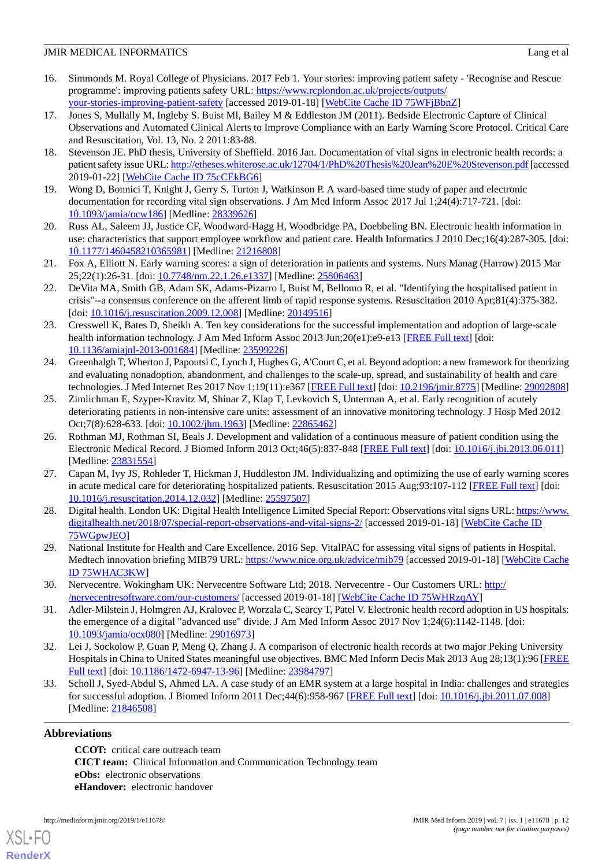- <span id="page-11-0"></span>16. Simmonds M. Royal College of Physicians. 2017 Feb 1. Your stories: improving patient safety - 'Recognise and Rescue programme': improving patients safety URL: [https://www.rcplondon.ac.uk/projects/outputs/](https://www.rcplondon.ac.uk/projects/outputs/your-stories-improving-patient-safety) [your-stories-improving-patient-safety](https://www.rcplondon.ac.uk/projects/outputs/your-stories-improving-patient-safety) [accessed 2019-01-18] [[WebCite Cache ID 75WFjBbnZ](http://www.webcitation.org/

                                75WFjBbnZ)]
- <span id="page-11-1"></span>17. Jones S, Mullally M, Ingleby S. Buist Ml, Bailey M & Eddleston JM (2011). Bedside Electronic Capture of Clinical Observations and Automated Clinical Alerts to Improve Compliance with an Early Warning Score Protocol. Critical Care and Resuscitation, Vol. 13, No. 2 2011:83-88.
- <span id="page-11-2"></span>18. Stevenson JE. PhD thesis, University of Sheffield. 2016 Jan. Documentation of vital signs in electronic health records: a patient safety issue URL:<http://etheses.whiterose.ac.uk/12704/1/PhD%20Thesis%20Jean%20E%20Stevenson.pdf> [accessed 2019-01-22] [\[WebCite Cache ID 75cCEkBG6](http://www.webcitation.org/

                                75cCEkBG6)]
- <span id="page-11-4"></span><span id="page-11-3"></span>19. Wong D, Bonnici T, Knight J, Gerry S, Turton J, Watkinson P. A ward-based time study of paper and electronic documentation for recording vital sign observations. J Am Med Inform Assoc 2017 Jul 1;24(4):717-721. [doi: [10.1093/jamia/ocw186](http://dx.doi.org/10.1093/jamia/ocw186)] [Medline: [28339626](http://www.ncbi.nlm.nih.gov/entrez/query.fcgi?cmd=Retrieve&db=PubMed&list_uids=28339626&dopt=Abstract)]
- <span id="page-11-5"></span>20. Russ AL, Saleem JJ, Justice CF, Woodward-Hagg H, Woodbridge PA, Doebbeling BN. Electronic health information in use: characteristics that support employee workflow and patient care. Health Informatics J 2010 Dec;16(4):287-305. [doi: [10.1177/1460458210365981\]](http://dx.doi.org/10.1177/1460458210365981) [Medline: [21216808\]](http://www.ncbi.nlm.nih.gov/entrez/query.fcgi?cmd=Retrieve&db=PubMed&list_uids=21216808&dopt=Abstract)
- <span id="page-11-6"></span>21. Fox A, Elliott N. Early warning scores: a sign of deterioration in patients and systems. Nurs Manag (Harrow) 2015 Mar 25;22(1):26-31. [doi: [10.7748/nm.22.1.26.e1337\]](http://dx.doi.org/10.7748/nm.22.1.26.e1337) [Medline: [25806463\]](http://www.ncbi.nlm.nih.gov/entrez/query.fcgi?cmd=Retrieve&db=PubMed&list_uids=25806463&dopt=Abstract)
- <span id="page-11-7"></span>22. DeVita MA, Smith GB, Adam SK, Adams-Pizarro I, Buist M, Bellomo R, et al. "Identifying the hospitalised patient in crisis"--a consensus conference on the afferent limb of rapid response systems. Resuscitation 2010 Apr;81(4):375-382. [doi: [10.1016/j.resuscitation.2009.12.008\]](http://dx.doi.org/10.1016/j.resuscitation.2009.12.008) [Medline: [20149516](http://www.ncbi.nlm.nih.gov/entrez/query.fcgi?cmd=Retrieve&db=PubMed&list_uids=20149516&dopt=Abstract)]
- <span id="page-11-8"></span>23. Cresswell K, Bates D, Sheikh A. Ten key considerations for the successful implementation and adoption of large-scale health information technology. J Am Med Inform Assoc 2013 Jun;20(e1):e9-e13 [[FREE Full text](http://europepmc.org/abstract/MED/23599226)] [doi: [10.1136/amiajnl-2013-001684](http://dx.doi.org/10.1136/amiajnl-2013-001684)] [Medline: [23599226](http://www.ncbi.nlm.nih.gov/entrez/query.fcgi?cmd=Retrieve&db=PubMed&list_uids=23599226&dopt=Abstract)]
- <span id="page-11-9"></span>24. Greenhalgh T, Wherton J, Papoutsi C, Lynch J, Hughes G, A'Court C, et al. Beyond adoption: a new framework for theorizing and evaluating nonadoption, abandonment, and challenges to the scale-up, spread, and sustainability of health and care technologies. J Med Internet Res 2017 Nov 1;19(11):e367 [\[FREE Full text\]](http://www.jmir.org/2017/11/e367/) [doi: [10.2196/jmir.8775](http://dx.doi.org/10.2196/jmir.8775)] [Medline: [29092808](http://www.ncbi.nlm.nih.gov/entrez/query.fcgi?cmd=Retrieve&db=PubMed&list_uids=29092808&dopt=Abstract)]
- <span id="page-11-10"></span>25. Zimlichman E, Szyper-Kravitz M, Shinar Z, Klap T, Levkovich S, Unterman A, et al. Early recognition of acutely deteriorating patients in non-intensive care units: assessment of an innovative monitoring technology. J Hosp Med 2012 Oct;7(8):628-633. [doi: [10.1002/jhm.1963](http://dx.doi.org/10.1002/jhm.1963)] [Medline: [22865462](http://www.ncbi.nlm.nih.gov/entrez/query.fcgi?cmd=Retrieve&db=PubMed&list_uids=22865462&dopt=Abstract)]
- <span id="page-11-11"></span>26. Rothman MJ, Rothman SI, Beals J. Development and validation of a continuous measure of patient condition using the Electronic Medical Record. J Biomed Inform 2013 Oct;46(5):837-848 [\[FREE Full text\]](https://linkinghub.elsevier.com/retrieve/pii/S1532-0464(13)00086-5) [doi: [10.1016/j.jbi.2013.06.011\]](http://dx.doi.org/10.1016/j.jbi.2013.06.011) [Medline: [23831554](http://www.ncbi.nlm.nih.gov/entrez/query.fcgi?cmd=Retrieve&db=PubMed&list_uids=23831554&dopt=Abstract)]
- <span id="page-11-12"></span>27. Capan M, Ivy JS, Rohleder T, Hickman J, Huddleston JM. Individualizing and optimizing the use of early warning scores in acute medical care for deteriorating hospitalized patients. Resuscitation 2015 Aug;93:107-112 [\[FREE Full text\]](https://linkinghub.elsevier.com/retrieve/pii/S0300-9572(15)00016-7) [doi: [10.1016/j.resuscitation.2014.12.032](http://dx.doi.org/10.1016/j.resuscitation.2014.12.032)] [Medline: [25597507\]](http://www.ncbi.nlm.nih.gov/entrez/query.fcgi?cmd=Retrieve&db=PubMed&list_uids=25597507&dopt=Abstract)
- <span id="page-11-14"></span><span id="page-11-13"></span>28. Digital health. London UK: Digital Health Intelligence Limited Special Report: Observations vital signs URL: [https://www.](https://www.digitalhealth.net/2018/07/special-report-observations-and-vital-signs-2/) [digitalhealth.net/2018/07/special-report-observations-and-vital-signs-2/](https://www.digitalhealth.net/2018/07/special-report-observations-and-vital-signs-2/) [accessed 2019-01-18] [\[WebCite Cache ID](http://www.webcitation.org/

                                75WGpwJEO) [75WGpwJEO\]](http://www.webcitation.org/

                                75WGpwJEO)
- <span id="page-11-15"></span>29. National Institute for Health and Care Excellence. 2016 Sep. VitalPAC for assessing vital signs of patients in Hospital. Medtech innovation briefing MIB79 URL: <https://www.nice.org.uk/advice/mib79> [accessed 2019-01-18] [[WebCite Cache](http://www.webcitation.org/

                                75WHAC3KW) [ID 75WHAC3KW](http://www.webcitation.org/

                                75WHAC3KW)]
- <span id="page-11-16"></span>30. Nervecentre. Wokingham UK: Nervecentre Software Ltd; 2018. Nervecentre - Our Customers URL: [http:/](http://nervecentresoftware.com/our-customers/) [/nervecentresoftware.com/our-customers/](http://nervecentresoftware.com/our-customers/) [accessed 2019-01-18] [[WebCite Cache ID 75WHRzqAY\]](http://www.webcitation.org/

                                75WHRzqAY)
- <span id="page-11-17"></span>31. Adler-Milstein J, Holmgren AJ, Kralovec P, Worzala C, Searcy T, Patel V. Electronic health record adoption in US hospitals: the emergence of a digital "advanced use" divide. J Am Med Inform Assoc 2017 Nov 1;24(6):1142-1148. [doi: [10.1093/jamia/ocx080](http://dx.doi.org/10.1093/jamia/ocx080)] [Medline: [29016973](http://www.ncbi.nlm.nih.gov/entrez/query.fcgi?cmd=Retrieve&db=PubMed&list_uids=29016973&dopt=Abstract)]
- 32. Lei J, Sockolow P, Guan P, Meng Q, Zhang J. A comparison of electronic health records at two major Peking University Hospitals in China to United States meaningful use objectives. BMC Med Inform Decis Mak 2013 Aug 28;13(1):96 [\[FREE](https://bmcmedinformdecismak.biomedcentral.com/articles/10.1186/1472-6947-13-96) [Full text\]](https://bmcmedinformdecismak.biomedcentral.com/articles/10.1186/1472-6947-13-96) [doi: [10.1186/1472-6947-13-96](http://dx.doi.org/10.1186/1472-6947-13-96)] [Medline: [23984797](http://www.ncbi.nlm.nih.gov/entrez/query.fcgi?cmd=Retrieve&db=PubMed&list_uids=23984797&dopt=Abstract)]
- 33. Scholl J, Syed-Abdul S, Ahmed LA. A case study of an EMR system at a large hospital in India: challenges and strategies for successful adoption. J Biomed Inform 2011 Dec;44(6):958-967 [\[FREE Full text](https://linkinghub.elsevier.com/retrieve/pii/S1532-0464(11)00126-2)] [doi: [10.1016/j.jbi.2011.07.008](http://dx.doi.org/10.1016/j.jbi.2011.07.008)] [Medline: [21846508](http://www.ncbi.nlm.nih.gov/entrez/query.fcgi?cmd=Retrieve&db=PubMed&list_uids=21846508&dopt=Abstract)]

## **Abbreviations**

[XSL](http://www.w3.org/Style/XSL)•FO **[RenderX](http://www.renderx.com/)**

**CCOT:** critical care outreach team **CICT team:** Clinical Information and Communication Technology team **eObs:** electronic observations **eHandover:** electronic handover